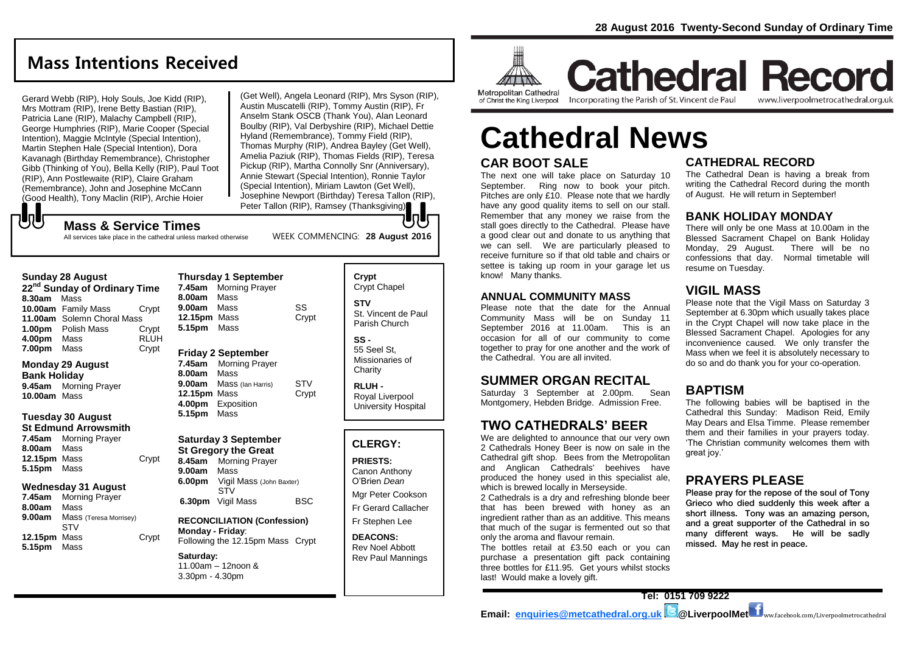# **Mass Intentions Received**

Gerard Webb (RIP), Holy Souls, Joe Kidd (RIP), Mrs Mottram (RIP), Irene Betty Bastian (RIP), Patricia Lane (RIP), Malachy Campbell (RIP), George Humphries (RIP), Marie Cooper (Special Intention), Maggie McIntyle (Special Intention), Martin Stephen Hale (Special Intention), Dora Kavanagh (Birthday Remembrance), Christopher Gibb (Thinking of You), Bella Kelly (RIP), Paul Toot (RIP), Ann Postlewaite (RIP), Claire Graham (Remembrance), John and Josephine McCann (Good Health), Tony Maclin (RIP), Archie Hoier

**Mass & Service Times**

All services take place in the cathedral unless marked otherwise

(Get Well), Angela Leonard (RIP), Mrs Syson (RIP), Austin Muscatelli (RIP), Tommy Austin (RIP), Fr Anselm Stank OSCB (Thank You), Alan Leonard Boulby (RIP), Val Derbyshire (RIP), Michael Dettie Hyland (Remembrance), Tommy Field (RIP), Thomas Murphy (RIP), Andrea Bayley (Get Well), Amelia Paziuk (RIP), Thomas Fields (RIP), Teresa Pickup (RIP), Martha Connolly Snr (Anniversary), Annie Stewart (Special Intention), Ronnie Taylor (Special Intention), Miriam Lawton (Get Well), Josephine Newport (Birthday) Teresa Tallon (RIP), Peter Tallon (RIP), Ramsey (Thanksgiving)

#### **Sunday 28 August**

もし

**22nd Sunday of Ordinary Time 8.30am** Mass **10.00am** Family Mass Crypt **11.00am** Solemn Choral Mass **1.00pm** Polish Mass Crypt **4.00pm** Mass RLUH **7.00pm** Mass Crypt

#### **Monday 29 August Bank Holiday**

**9.45am** Morning Prayer **10.00am** Mass

#### **Tuesday 30 August**

**St Edmund Arrowsmith 7.45am** Morning Prayer **8.00am** Mass **12.15pm** Mass Crypt **5.15pm** Mass

#### **Wednesday 31 August**

**7.45am** Morning Prayer **8.00am** Mass **9.00am** Mass (Teresa Morrisey) STV **12.15pm** Mass Crypt **5.15pm** Mass

| 8.00am<br>9.00am<br>12.15pm Mass<br>5.15pm                        | Mass<br>Mass<br>Mass                                                                                  | SS<br>Crypt  |
|-------------------------------------------------------------------|-------------------------------------------------------------------------------------------------------|--------------|
| 7.45am<br>8.00am<br>9.00am<br>12.15pm Mass<br>4.00pm<br>5.15pm    | <b>Friday 2 September</b><br><b>Morning Prayer</b><br>Mass<br>Mass (Ian Harris)<br>Exposition<br>Mass | STV<br>Crypt |
| <b>Saturday 3 September</b><br>تستحص المتعادل والمستحدث والمستحدث |                                                                                                       |              |

**Thursday 1 September 7.45am** Morning Prayer

# **St Gregory the Great**

**8.45am** Morning Prayer **9.00am** Mass **6.00pm** Vigil Mass (John Baxter) STV **6.30pm** Vigil Mass BSC

#### **RECONCILIATION (Confession) Monday - Friday**: Following the 12.15pm Mass Crypt

**Saturday:** 11.00am – 12noon & 3.30pm - 4.30pm

Crypt Chapel **STV** St. Vincent de Paul Parish Church **SS -** 55 Seel St, Missionaries of **Charity RLUH -**

**Crypt** 

WEEK COMMENCING: **28 August 2016**

Royal Liverpool University Hospital

#### **CLERGY:**

**PRIESTS:** Canon Anthony O'Brien *Dean*

Mgr Peter Cookson Fr Gerard Callacher

Fr Stephen Lee

**DEACONS:** Rev Noel Abbott Rev Paul Mannings



of Christ the King Liverpool

Incorporating the Parish of St. Vincent de Paul

**Cathedral Record** www.liverpoolmetrocathedral.org.uk

# **Cathedral News**

# **CAR BOOT SALE**

The next one will take place on Saturday 10 September. Ring now to book your pitch. Pitches are only £10. Please note that we hardly have any good quality items to sell on our stall. Remember that any money we raise from the stall goes directly to the Cathedral. Please have a good clear out and donate to us anything that we can sell. We are particularly pleased to receive furniture so if that old table and chairs or settee is taking up room in your garage let us know! Many thanks.

#### **ANNUAL COMMUNITY MASS**

Please note that the date for the Annual Community Mass will be on Sunday 11 September 2016 at 11.00am. This is an occasion for all of our community to come together to pray for one another and the work of the Cathedral. You are all invited.

# **SUMMER ORGAN RECITAL**

Saturday 3 September at 2.00pm. Sean Montgomery, Hebden Bridge. Admission Free.

# **TWO CATHEDRALS' BEER**

We are delighted to announce that our very own 2 Cathedrals Honey Beer is now on sale in the Cathedral gift shop. Bees from the Metropolitan and Anglican Cathedrals' beehives have produced the honey used in this specialist ale, which is brewed locally in Merseyside.

2 Cathedrals is a dry and refreshing blonde beer that has been brewed with honey as an ingredient rather than as an additive. This means that much of the sugar is fermented out so that only the aroma and flavour remain.

The bottles retail at £3.50 each or you can purchase a presentation gift pack containing three bottles for £11.95. Get yours whilst stocks last! Would make a lovely gift.

# **CATHEDRAL RECORD**

The Cathedral Dean is having a break from writing the Cathedral Record during the month of August. He will return in September!

#### **BANK HOLIDAY MONDAY**

There will only be one Mass at 10.00am in the Blessed Sacrament Chapel on Bank Holiday Monday, 29 August. There will be no confessions that day. Normal timetable will resume on Tuesday.

# **VIGIL MASS**

Please note that the Vigil Mass on Saturday 3 September at 6.30pm which usually takes place in the Crypt Chapel will now take place in the Blessed Sacrament Chapel. Apologies for any inconvenience caused. We only transfer the Mass when we feel it is absolutely necessary to do so and do thank you for your co-operation.

# **BAPTISM**

The following babies will be baptised in the Cathedral this Sunday: Madison Reid, Emily May Dears and Elsa Timme. Please remember them and their families in your prayers today. 'The Christian community welcomes them with great joy.'

### **PRAYERS PLEASE**

Please pray for the repose of the soul of Tony Grieco who died suddenly this week after a short illness. Tony was an amazing person, and a great supporter of the Cathedral in so many different ways. He will be sadly missed. May he rest in peace.